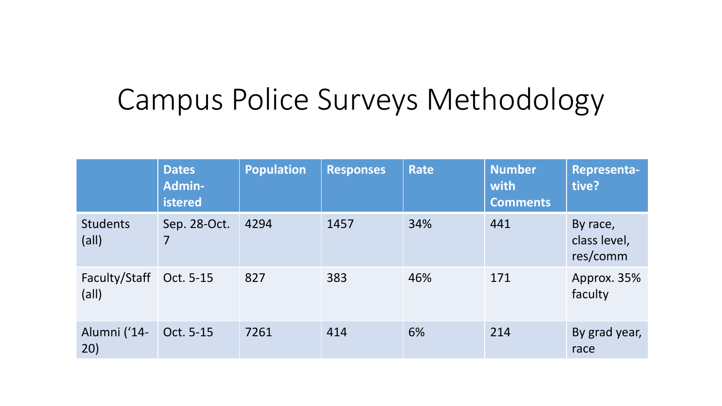## Campus Police Surveys Methodology

|                                   | <b>Dates</b><br><b>Admin-</b><br>istered | <b>Population</b> | <b>Responses</b> | Rate | <b>Number</b><br>with<br><b>Comments</b> | <b>Representa-</b><br>tive?          |
|-----------------------------------|------------------------------------------|-------------------|------------------|------|------------------------------------------|--------------------------------------|
| <b>Students</b><br>$\text{(all)}$ | Sep. 28-Oct.<br>7                        | 4294              | 1457             | 34%  | 441                                      | By race,<br>class level,<br>res/comm |
| Faculty/Staff<br>$\text{(all)}$   | Oct. 5-15                                | 827               | 383              | 46%  | 171                                      | Approx. 35%<br>faculty               |
| Alumni ('14-<br>20)               | Oct. 5-15                                | 7261              | 414              | 6%   | 214                                      | By grad year,<br>race                |